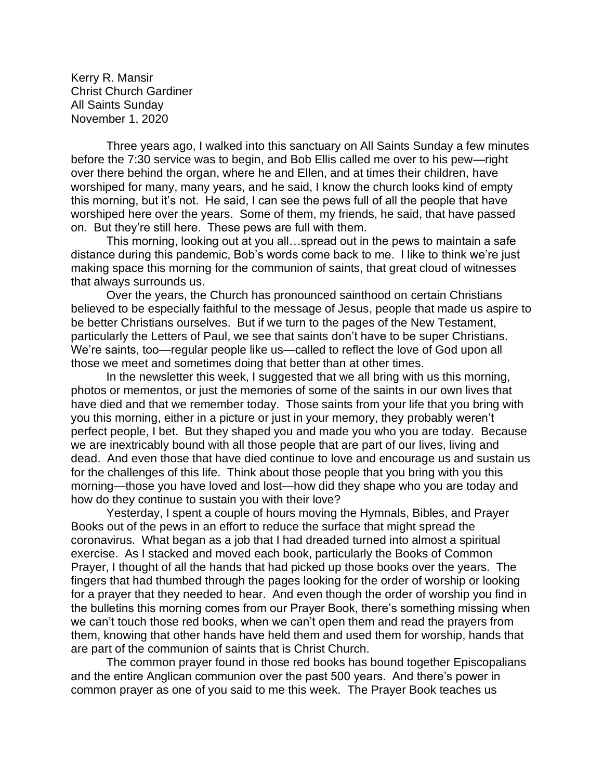Kerry R. Mansir Christ Church Gardiner All Saints Sunday November 1, 2020

Three years ago, I walked into this sanctuary on All Saints Sunday a few minutes before the 7:30 service was to begin, and Bob Ellis called me over to his pew—right over there behind the organ, where he and Ellen, and at times their children, have worshiped for many, many years, and he said, I know the church looks kind of empty this morning, but it's not. He said, I can see the pews full of all the people that have worshiped here over the years. Some of them, my friends, he said, that have passed on. But they're still here. These pews are full with them.

This morning, looking out at you all…spread out in the pews to maintain a safe distance during this pandemic, Bob's words come back to me. I like to think we're just making space this morning for the communion of saints, that great cloud of witnesses that always surrounds us.

Over the years, the Church has pronounced sainthood on certain Christians believed to be especially faithful to the message of Jesus, people that made us aspire to be better Christians ourselves. But if we turn to the pages of the New Testament, particularly the Letters of Paul, we see that saints don't have to be super Christians. We're saints, too—regular people like us—called to reflect the love of God upon all those we meet and sometimes doing that better than at other times.

In the newsletter this week, I suggested that we all bring with us this morning, photos or mementos, or just the memories of some of the saints in our own lives that have died and that we remember today. Those saints from your life that you bring with you this morning, either in a picture or just in your memory, they probably weren't perfect people, I bet. But they shaped you and made you who you are today. Because we are inextricably bound with all those people that are part of our lives, living and dead. And even those that have died continue to love and encourage us and sustain us for the challenges of this life. Think about those people that you bring with you this morning—those you have loved and lost—how did they shape who you are today and how do they continue to sustain you with their love?

Yesterday, I spent a couple of hours moving the Hymnals, Bibles, and Prayer Books out of the pews in an effort to reduce the surface that might spread the coronavirus. What began as a job that I had dreaded turned into almost a spiritual exercise. As I stacked and moved each book, particularly the Books of Common Prayer, I thought of all the hands that had picked up those books over the years. The fingers that had thumbed through the pages looking for the order of worship or looking for a prayer that they needed to hear. And even though the order of worship you find in the bulletins this morning comes from our Prayer Book, there's something missing when we can't touch those red books, when we can't open them and read the prayers from them, knowing that other hands have held them and used them for worship, hands that are part of the communion of saints that is Christ Church.

The common prayer found in those red books has bound together Episcopalians and the entire Anglican communion over the past 500 years. And there's power in common prayer as one of you said to me this week. The Prayer Book teaches us